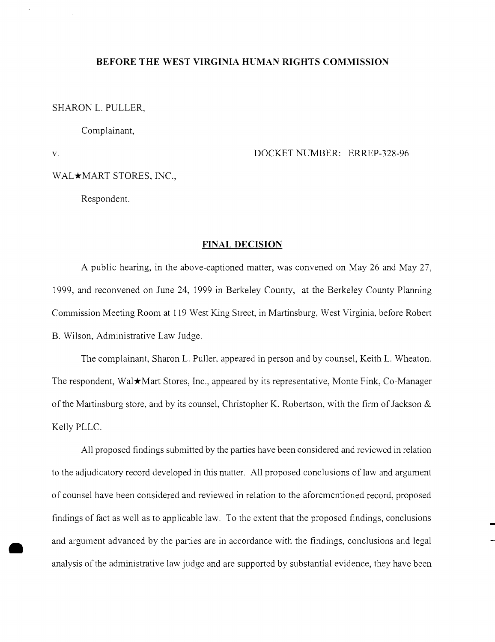#### **BEFORE THE WEST VIRGINIA HUMAN RIGHTS COMMISSION**

SHARON L. PULLER,

Complainant,

v.

•

DOCKET NUMBER: ERREP-328-96

WAL\*MART STORES, INC.,

Respondent.

#### **FINAL DECISION**

A public hearing, in the above-captioned matter, was convened on May 26 and May 27, 1999, and reconvened on June 24, 1999 in Berkeley County, at the Berkeley County Planning Commission Meeting Room at 119 West King Street, in Martinsburg, West Virginia, before Robert B. Wilson, Administrative Law Judge.

The complainant, Sharon L. Puller. appeared in person and by counsel, Keith L. Wheaton. The respondent, Wal★Mart Stores, Inc., appeared by its representative, Monte Fink, Co-Manager of the Martinsburg store, and by its counsel, Christopher K. Robertson, with the firm of Jackson  $\&$ Kelly PLLC.

All proposed findings submitted by the parties have been considered and reviewed in relation to the adjudicatory record developed in this matter. All proposed conclusions of law and argument of counsel have been considered and reviewed in relation to the aforementioned record, proposed findings of fact as well as to applicable law. To the extent that the proposed findings, conclusions and argument advanced by the parties are in accordance with the findings, conclusions and legal analysis of the administrative law judge and are supported by substantial evidence, they have been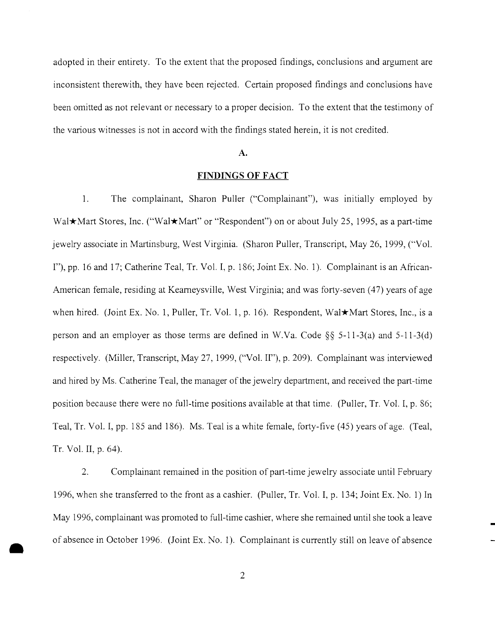adopted in their entirety. To the extent that the proposed findings, conclusions and argument are inconsistent therewith, they have been rejected. Certain proposed findings and conclusions have been omitted as not relevant or necessary to a proper decision. To the extent that the testimony of the various witnesses is not in accord with the findings stated herein, it is not credited.

#### **A.**

## **FINDINGS OF FACT**

1. The complainant, Sharon Puller ('"Complainant"), was initially employed by Wal**\***Mart Stores, Inc. ("Wal\*Mart" or "Respondent") on or about July 25, 1995, as a part-time jewelry associate in Martinsburg, West Virginia. (Sharon Puller, Transcript, May 26, 1999, ('"Vol. I"), pp. 16 and 17; Catherine Teal, Tr. Vol. I, p. 186; Joint Ex. No.1). Complainant is an African-American female, residing at Kearneysville, West Virginia; and was forty-seven (47) years of age when hired. (Joint Ex. No. 1, Puller, Tr. Vol. 1, p. 16). Respondent, Wal★Mart Stores, Inc., is a person and an employer as those terms are defined in W.Va. Code §§ 5-11-3(a) and 5-11-3(d) respectively. (Miller, Transcript, May 27, 1999, ("Vol. II"), p. 209). Complainant was interviewed and hired by Ms. Catherine Teal, the manager of the jewelry department, and received the part-time position because there were no full-time positions available at that time. (Puller, Tr. Vol. I, p. 86; Teal, Tr. Vol. I, pp. 185 and 186). Ms. Teal is a white female, forty-five (45) years of age. (Teal, Tr. Vol. II, p. 64).

2. Complainant remained in the position of part-time jewelry associate until February 1996, when she transferred to the front as a cashier. (Puller, Tr. Vol. I, p. 134; Joint Ex. No.1) In May 1996, complainant was promoted to full-time cashier, where she remained until she took a leave of absence in October 1996. (Joint Ex. No.1). Complainant is currently still on leave of absence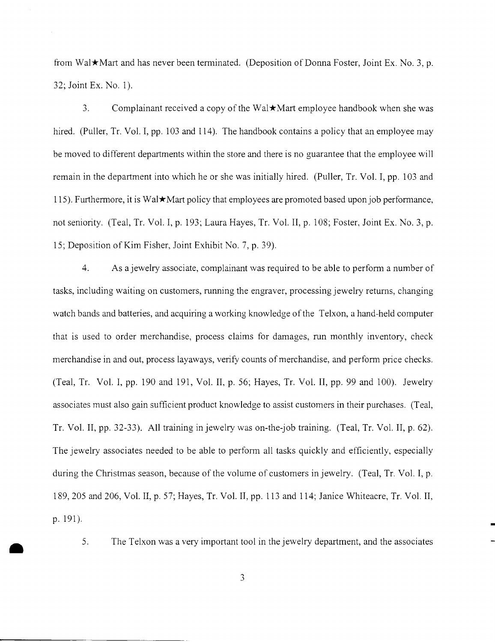from Wal $\star$ Mart and has never been terminated. (Deposition of Donna Foster, Joint Ex. No. 3, p. 32; Joint Ex. No.1).

3. Complainant received a copy of the Wal $\star$ Mart employee handbook when she was hired. (Puller, Tr. Vol. I, pp. 103 and 114). The handbook contains a policy that an employee may be moved to different departments within the store and there is no guarantee that the employee will remain in the department into which he or she was initially hired. (Puller, Tr. Vol. I, pp. 103 and 115). Furthermore, it is Wal $\star$ Mart policy that employees are promoted based upon job performance, not seniority. (Teal, Tr. Vol. I, p. 193; Laura Hayes, Tr. Vol. II, p. 108; Foster, Joint Ex. No. 3, p. 15; Deposition of Kim Fisher, Joint Exhibit No.7, p. 39).

4. As a jewelry associate, complainant was required to be able to perform a number of tasks, including waiting on customers, nmning the engraver, processing jewelry returns, changing watch bands and batteries, and acquiring a working knowledge of the Telxon, a hand-held computer that is used to order merchandise, process claims for damages, run monthly inventory, check merchandise in and out, process layaways, verify counts of merchandise, and perform price checks. (Teal, Tr. Vol. I, pp. 190 and 191, Vol. II, p. 56; Hayes, Tr. Vol. II, pp. 99 and 100). Jewelry associates must also gain sufficient product knowledge to assist customers in their purchases. (Teal, Tr. Vol. II, pp. 32-33). All training in jewelry was on-the-job training. (Teal, Tr. Vol. II, p. 62). The jewelry associates needed to be able to perform all tasks quickly and efficiently, especially during the Christmas season, because of the volume of customers in jewelry. (Teal, Tr. Vol. I, p. 189, 205 and 206, Vol. II, p. 57; Hayes, Tr. Vol. II, pp. 113 and 114; Janice Whiteacre, Tr. Vol. II, p. 191).

The Telxon was <sup>a</sup> very important tool in the jewelry department, and the associates • 5.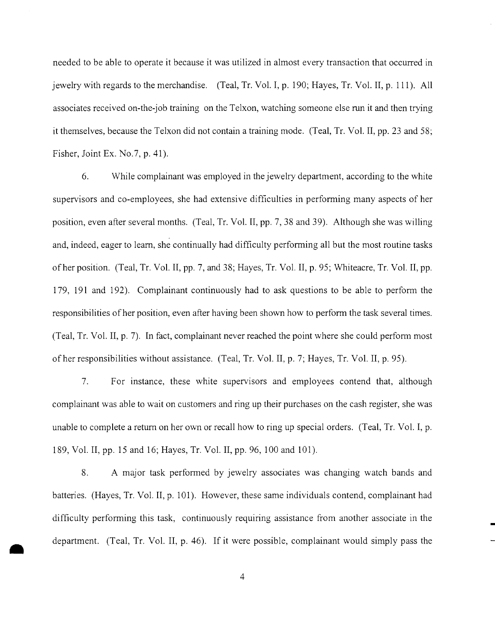needed to be able to operate it because it was utilized in almost every transaction that occurred in jewelry with regards to the merchandise. (Teal, Tr. Vol. I, p. 190; Hayes, Tr. Vol. II, p. 111). All associates received on-the-job training on the Telxon, watching someone else run it and then trying it themselves, because the Telxon did not contain a training mode. (Teal, Tr. Vol. II, pp. 23 and 58; Fisher, Joint Ex. No.7, p. 41).

6. While complainant was employed in the jewelry department, according to the white supervisors and co-employees, she had extensive difficulties in performing many aspects of her position, even after several months. (Teal, Tr. Vol. II, pp. 7, 38 and 39). Although she was willing and, indeed, eager to learn, she continually had difficulty performing all but the most routine tasks of her position. (Teal, Tr. Vol. II, pp. 7, and 38; Hayes, Tr. Vol. II, p. 95; Whiteacre, Tr. Vol. II, pp. 179, 191 and 192). Complainant continuously had to ask questions to be able to perform the responsibilities ofher position, even after having been shown how to perform the task several times. (Teal, Tr. Vol. II, p. 7). In fact, complainant never reached the point where she could perform most of her responsibilities without assistance. (Teal, Tr. Vol. II, p. 7; Hayes, Tr. Vol. II, p. 95).

7. For instance, these white supervisors and employees contend that, although complainant was able to wait on customers and ring up their purchases on the cash register, she was unable to complete a return on her own or recall how to ring up special orders. (Teal, Tr. Vol. I, p. 189, Vol. II, pp. 15 and 16; Hayes, Tr. Vol. II, pp. 96,100 and 101).

8. A major task performed by jewelry associates was changing watch bands and batteries. (Hayes, Tr. Vol. II, p. 101). However, these same individuals contend, complainant had difficulty performing this task, continuously requiring assistance from another associate in the department. (Teal, Tr. Vol. II, p. 46). If it were possible, complainant would simply pass the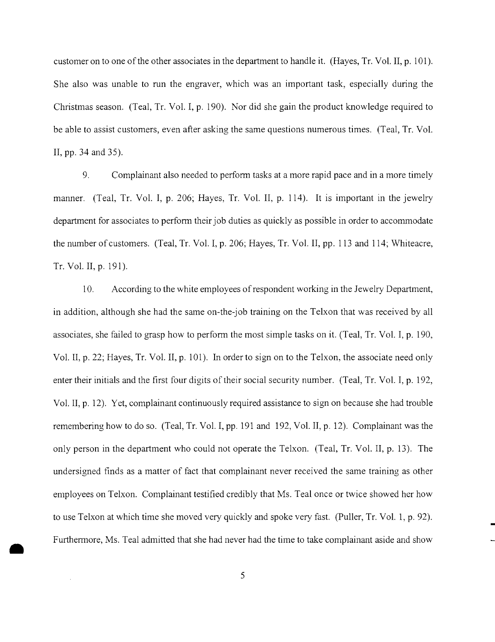customer on to one of the other associates in the department to handle it. (Hayes, Tr. Vol. II, p. 101). She also was unable to run the engraver, which was an important task, especially during the Christmas season. (Teal, Tr. Vol. I, p. 190). Nor did she gain the product knowledge required to be able to assist customers, even after asking the same questions numerous times. (Teal, Tr. Vol. II, pp. 34 and 35).

9. Complainant also needed to perform tasks at a more rapid pace and in a more timely manner. (Teal, Tr. Vol. I, p. 206; Hayes, Tr. Vol. II, p. 114). It is important in the jewelry department for associates to perform their job duties as quickly as possible in order to accommodate the number of customers. (Teal, Tr. Vol. I, p. 206; Hayes, Tr. Vol. II, pp. 113 and 114; Whiteacre, Tr. Vol. II, p. 191).

10. According to the white employees of respondent working in the Jewelry Department, in addition, although she had the same on-the-job training on the Telxon that was received by all associates, she failed to grasp how to perform the most simple tasks on it. (Teal, Tr. Vol. I, p. 190, Vol. II, p. 22; Hayes, Tr. Vol. II, p. 101). In order to sign on to the Telxon, the associate need only enter their initials and the first four digits of their social security number. (Teal, Tr. Vol. I, p. 192, Vol. II, p. 12). Yet, complainant continuously required assistance to sign on because she had trouble remembering how to do so. (Teal, Tr. Vol. I, pp. 191 and 192, Vol. II, p. 12). Complainant was the only person in the department who could not operate the Telxon. (Teal, Tr. Vol. II, p. 13). The undersigned finds as a matter of fact that complainant never received the same training as other employees on Telxon. Complainant testified credibly that Ms. Teal once or twice showed her how to use Telxon at which time she moved very quickly and spoke very fast. (Puller, Tr. Vol. 1, p. 92). Furthermore, Ms. Teal admitted that she had never had the time to take complainant aside and show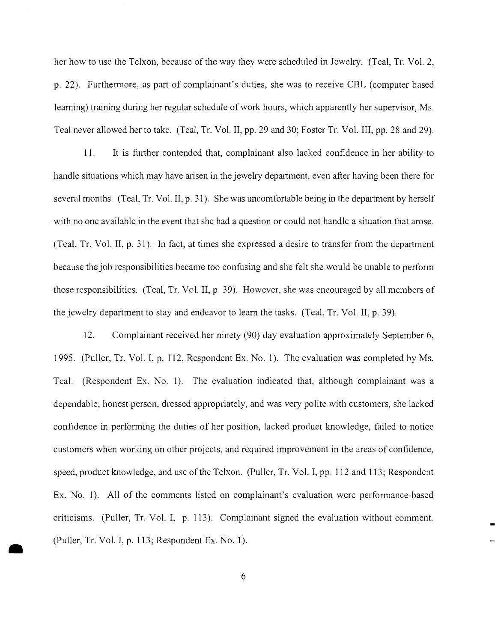her how to use the Telxon, because of the way they were scheduled in Jewelry. (Teal, Tr. Vol. 2, p. 22). Furthermore, as part of complainant's duties, she was to receive CBL (computer based leaming) training during her regular schedule of work hours, which apparently her supervisor, Ms. Teal never allowed her to take. (Teal, Tr. Vol. II, pp. 29 and 30; Foster Tr. Vol. III, pp. 28 and 29).

11. It is further contended that, complainant also lacked confidence in her ability to handle situations which may have arisen in the jewelry department, even after having been there for several months. (Teal, Tr. Vol. II, p. 31). She was uncomfortable being in the department by herself with no one available in the event that she had a question or could not handle a situation that arose. (Teal, Tr. Vol. II, p. 31). In fact, at times she expressed a desire to transfer from the department because the job responsibilities became too confusing and she felt she would be unable to perform those responsibilities. (Teal, Tr. Vol. II, p. 39). However, she was encouraged by all members of the jewelry department to stay and endeavor to leam the tasks. (Teal, Tr. Vol. II, p. 39).

12. Complainant received her ninety (90) day evaluation approximately September 6, 1995. (Puller, Tr. Vol. I, p. 112, Respondent Ex. No.1). The evaluation was completed by Ms. Teal. (Respondent Ex. No.1). The evaluation indicated that, although complainant was a dependable, honest person, dressed appropriately, and was very polite with customers, she lacked confidence in performing the duties of her position, lacked product knowledge, failed to notice customers when working on other projects, and required improvement in the areas of confidence, speed, product knowledge, and use of the Telxon. (Puller, Tr. Vol. I, pp. 112 and 113; Respondent Ex. No. 1). All of the comments listed on complainant's evaluation were performance-based criticisms. (Puller, Tr. Vol. I, p. 113). Complainant signed the evaluation without comment. (Puller, Tr. Vol. I, p. 113; Respondent Ex. No.1).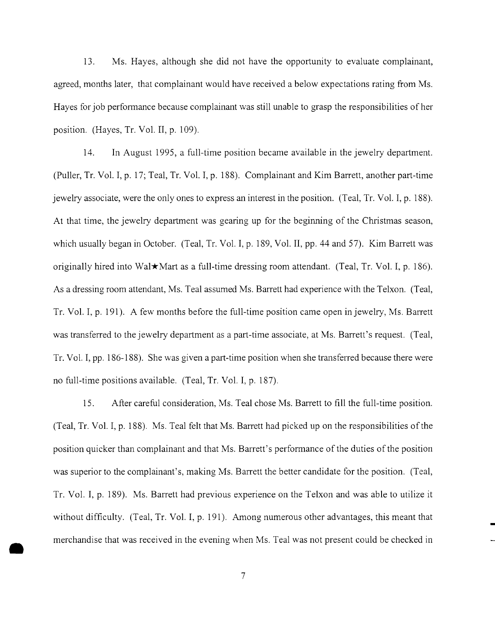13. Ms. Hayes, although she did not have the opportunity to evaluate complainant, agreed, months later, that complainant would have received a below expectations rating from Ms. Hayes for job performance because complainant was still unable to grasp the responsibilities of her position. (Hayes, Tr. Vol. II, p. 109).

14. In August 1995, a full-time position became available in the jewelry department. (Puller, Tr. Vol. I, p. 17; Teal, Tr. Vol. I, p. 188). Complainant and Kim Barrett, another part-time jewelry associate, were the only ones to express an interest in the position. (Teal, Tr. Vol. I, p. 188). At that time, the jewelry department was gearing up for the beginning of the Christmas season, which usually began in October. (Teal, Tr. Vol. I, p. 189, Vol. II, pp. 44 and 57). Kim Barrett was originally hired into Wal $\star$ Mart as a full-time dressing room attendant. (Teal, Tr. Vol. I, p. 186). As a dressing room attendant, Ms. Teal assumed Ms. Barrett had experience with the Telxon. (Teal, Tr. Vol. I, p. 191). A few months before the full-time position came open in jewelry, Ms. Barrett was transferred to the jewelry department as a part-time associate, at Ms. Barrett's request. (Teal, Tr. Vol. I, pp. 186-188). She was given a part-time position when she transferred because there were no full-time positions available. (Teal, Tr. Vol. I, p. 187).

15. After careful consideration, Ms. Teal chose Ms. Barrett to fill the full-time position. (Teal, Tr. Vol. I, p. 188). Ms. Teal felt that Ms. Barrett had picked up on the responsibilities ofthe position quicker than complainant and that Ms. Barrett's performance of the duties of the position was superior to the complainant's, making Ms. Barrett the better candidate for the position. (Teal, Tr. Vol. I, p. 189). Ms. Barrett had previous experience on the Telxon and was able to utilize it without difficulty. (Teal, Tr. Vol. I, p. 191). Among numerous other advantages, this meant that merchandise that was received in the evening when Ms. Teal was not present could be checked in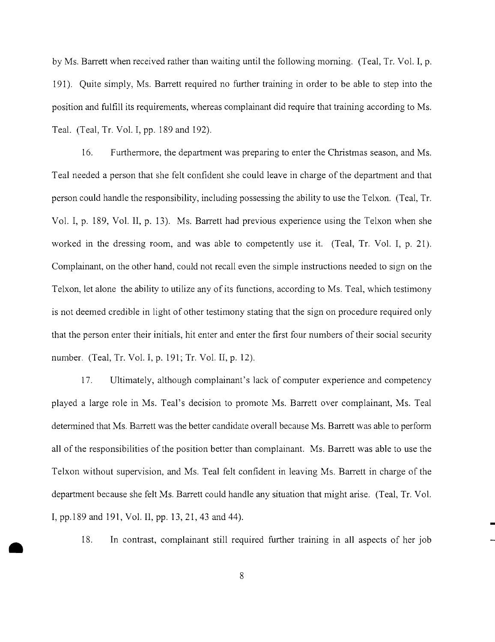by Ms. Barrett when received rather than waiting until the following morning. (Teal, Tr. Vol. I, p. 191). Quite simply, Ms. Barrett required no further training in order to be able to step into the position and fulfill its requirements, whereas complainant did require that training according to Ms. Teal. (Teal, Tr. Vol. I, pp. 189 and 192).

16. Furthermore, the department was preparing to enter the Christmas season, and Ms. Teal needed a person that she felt confident she could leave in charge of the department and that person could handle the responsibility, including possessing the ability to use the Telxon. (Teal, Tr. Vol. I, p. 189, Vol. II, p. 13). Ms. Barrett had previous experience using the Telxon when she worked in the dressing room, and was able to competently use it. (Teal, Tr. Vol. I, p. 21). Complainant, on the other hand, could not recall even the simple instructions needed to sign on the Telxon, let alone the ability to utilize any of its functions, according to Ms. Teal, which testimony is not deemed credible in light of other testimony stating that the sign on procedure required only that the person enter their initials, hit enter and enter the first four numbers of their social security number. (Teal, Tr. Vol. I, p. 191; Tr. Vol. II, p. 12).

17. Ultimately, although complainant's lack of computer experience and competency played a large role in Ms. Teal's decision to promote Ms. Barrett over complainant, Ms. Teal determined that Ms. Barrett was the better candidate overall because Ms. Barrett was able to perform all of the responsibilities of the position better than complainant. Ms. Barrett was able to use the Telxon without supervision, and Ms. Teal felt confident in leaving Ms. Barrett in charge of the department because she felt Ms. Barrett could handle any situation that might arise. (Teal, Tr. Vol. I, pp.189 and 191, Vol. II, pp. 13,21,43 and 44).

18. In contrast, complainant still required further training in all aspects of her job

8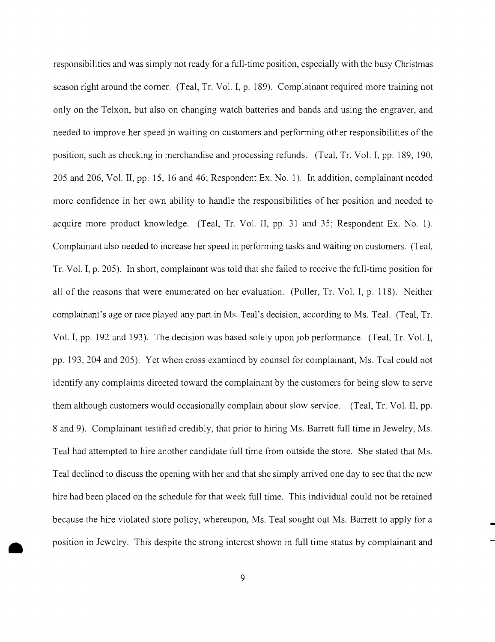responsibilities and was simply not ready for a full-time position, especially with the busy Christmas season right around the comer. (Teal, Tr. Vol. I, p. 189). Complainant required more training not only on the Telxon, but also on changing watch batteries and bands and using the engraver, and needed to improve her speed in waiting on customers and performing other responsibilities of the position, such as checking in merchandise and processing refunds. (Teal, Tr. Vol. I, pp. 189, 190, 205 and 206, Vol. II, pp. 15, 16 and 46; Respondent Ex. No. 1). In addition, complainant needed more confidence in her own ability to handle the responsibilities of her position and needed to acquire more product knowledge. (Teal, Tr. Vol. II, pp. 31 and 35; Respondent Ex. No. 1). Complainant also needed to increase her speed in performing tasks and waiting on customers. (Teal, Tr. Vol. I, p. 205). In short, complainant was told that she failed to receive the full-time position for all of the reasons that were enumerated on her evaluation. (Puller, Tr. Vol. I, p. 118). Neither complainant's age or race played any part in Ms. Teal's decision, according to Ms. Teal. (Teal, Tr. Vol. I, pp. 192 and 193). The decision was based solely upon job performance. (Teal, Tr. Vol. I, pp. 193,204 and 205). Yet when cross examined by counsel for complainant, Ms. Teal could not identify any complaints directed toward the complainant by the customers for being slow to serve them although customers would occasionally complain about slow service. (Teal, Tr. Vol. II, pp. 8 and 9). Complainant testified credibly, that prior to hiring Ms. Barrett full time in Jewelry, Ms. Teal had attempted to hire another candidate full time from outside the store. She stated that Ms. Teal declined to discuss the opening with her and that she simply arrived one day to see that the new hire had been placed on the schedule for that week full time. This individual could not be retained because the hire violated store policy, whereupon, Ms. Teal sought out Ms. Barrett to apply for a position in Jewelry. This despite the strong interest shown in full time status by complainant and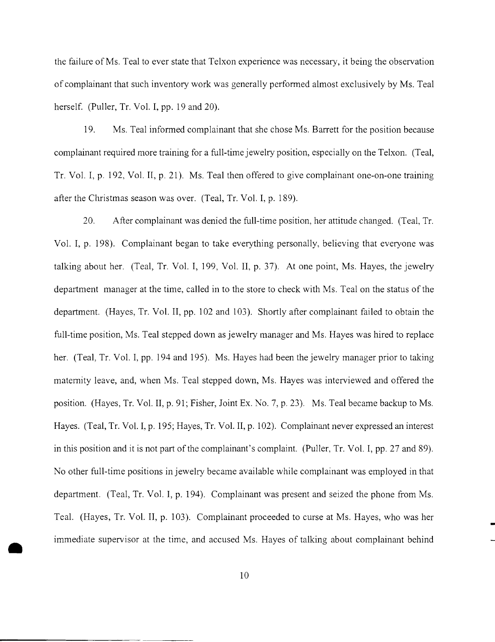the failure ofMs. Teal to ever state that Telxon experience was necessary, it being the observation of complainant that such inventory work was generally performed almost exclusively by Ms. Teal herself. (Puller, Tr. Vol. I, pp. 19 and 20).

19. Ms. Teal informed complainant that she chose Ms. Barrett for the position because complainant required more training for a full-time jewelry position, especially on the Telxon. (Teal, Tr. Vol. I, p. 192, Vol. II, p. 21). Ms. Teal then offered to give complainant one-on-one training after the Christmas season was over. (Teal, Tr. Vol. I, p. 189).

20. After complainant was denied the full-time position, her attitude changed. (Teal, Tr. Vol. I, p. 198). Complainant began to take everything personally, believing that everyone was talking about her. (Teal, Tr. Vol. I, 199, Vol. **II,** p. 37). At one point, Ms. Hayes, the jewelry department manager at the time, called in to the store to check with Ms. Teal on the status of the department. (Hayes, Tr. Vol. II, pp. 102 and 103). Shortly after complainant failed to obtain the full-time position, Ms. Teal stepped down as jewelry manager and Ms. Hayes was hired to replace her. (Teal, Tr. Vol. **I,** pp. 194 and 195). Ms. Hayes had been the jewelry manager prior to taking maternity leave, and, when Ms. Teal stepped down, Ms. Hayes was interviewed and offered the position. (Hayes, Tr. Vol. II, p. 91; Fisher, Joint Ex. No.7, p. 23). Ms. Teal became backup to Ms. Hayes. (Teal, Tr. Vol. I, p. 195; Hayes, Tr. Vol. II, p. 102). Complainant never expressed an interest in this position and it is not part of the complainant's complaint. (Puller, Tr. Vol. I, pp. 27 and 89). No other full-time positions in jewelry became available while complainant was employed in that department. (Teal, Tr. Vol. I, p. 194). Complainant was present and seized the phone from Ms. Teal. (Hayes, Tr. Vol. II, p. 103). Complainant proceeded to curse at Ms. Hayes, who was her immediate supervisor at the time, and accused Ms. Hayes of talking about complainant behind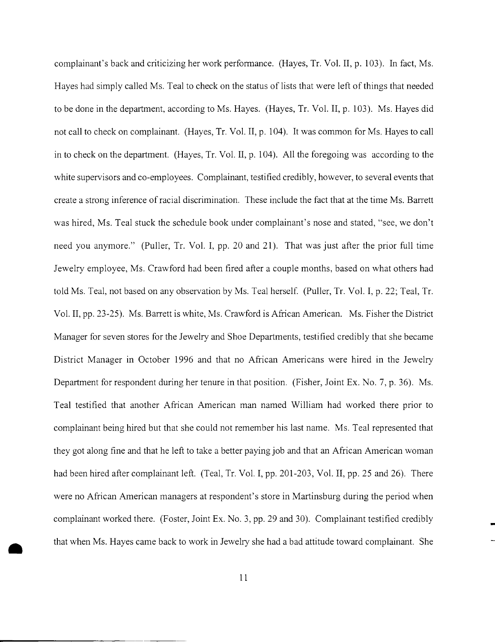complainant's back and criticizing her work performance. (Hayes, Tr. Vol. II, p. 103). In fact, Ms. Hayes had simply called Ms. Teal to check on the status of lists that were left ofthings that needed to be done in the department, according to Ms. Hayes. (Hayes, Tr. Vol. II, p. 103). Ms. Hayes did not call to check on complainant. (Hayes, Tr. Vol. II, p. 104). It was common for Ms. Hayes to call in to check on the department. (Hayes, Tr. Vol. II, p. 104). All the foregoing was according to the white supervisors and co-employees. Complainant, testified credibly, however, to several events that create a strong inference ofracial discrimination. These include the fact that at the time Ms. Barrett was hired, Ms. Teal stuck the schedule book under complainant's nose and stated, "see, we don't need you anymore." (Puller, Tr. Vol. I, pp. 20 and 21). That was just after the prior full time Jewelry employee, Ms. Crawford had been fired after a couple months, based on what others had told Ms. Teal, not based on any observation by Ms. Teal herself. (Puller, Tr. Vol. I, p. 22; Teal, Tr. Vol. II, pp. 23-25). Ms. Barrett is white, Ms. Crawford is African American. Ms. Fisher the District Manager for seven stores for the Jewelry and Shoe Departments, testified credibly that she became District Manager in October 1996 and that no African Americans were hired in the Jewelry Department for respondent during her tenure in that position. (Fisher, Joint Ex. No. 7, p. 36). Ms. Teal testified that another African American man named William had worked there prior to complainant being hired but that she could not remember his last name. Ms. Teal represented that they got along fine and that he left to take a better paying job and that an African American woman had been hired after complainant left. (Teal, Tr. Vol. I, pp. 201-203, Vol. II, pp. 25 and 26). There were no African American managers at respondent's store in Martinsburg during the period when complainant worked there. (Foster, Joint Ex. No.3, pp. 29 and 30). Complainant testified credibly that when Ms. Hayes came back to work in Jewelry she had a bad attitude toward complainant. She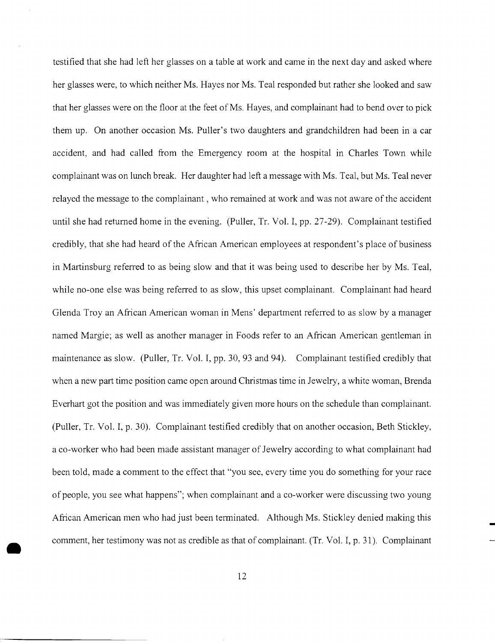testified that she had left her glasses on a table at work and came in the next day and asked where her glasses were, to which neither Ms. Hayes nor Ms. Teal responded but rather she looked and saw that her glasses were on the floor at the feet of Ms. Hayes, and complainant had to bend over to pick them up. On another occasion Ms. Puller's two daughters and grandchildren had been in a car accident, and had called from the Emergency room at the hospital in Charles Town while complainant was on lunch break. Her daughter had left a message with Ms. Teal, but Ms. Teal never relayed the message to the complainant, who remained at work and was not aware of the accident until she had returned home in the evening. (Puller, Tr. Vol. I, pp. 27-29). Complainant testified credibly, that she had heard of the African American employees at respondent's place of business in Martinsburg referred to as being slow and that it was being used to describe her by Ms. Teal, while no-one else was being referred to as slow, this upset complainant. Complainant had heard Glenda Troyan African American woman in Mens' department referred to as slow by a manager named Margie; as well as another manager in Foods refer to an African American gentleman in maintenance as slow. (Puller, Tr. Vol. I, pp. 30, 93 and 94). Complainant testified credibly that when a new part time position came open around Christmas time in Jewelry, a white woman, Brenda Everhart got the position and was immediately given more hours on the schedule than complainant. (Puller, Tr. Vol. I, p. 30). Complainant testified credibly that on another occasion, Beth Stickley, a co-worker who had been made assistant manager of Jewelry according to what complainant had been told, made a comment to the effect that "you see, every time you do something for your race of people, you see what happens"; when complainant and a co-worker were discussing two young African American men who had just been terminated. Although Ms. Stickley denied making this comment, her testimony was not as credible as that of complainant. (Tr. Vol. I, p. 31). Complainant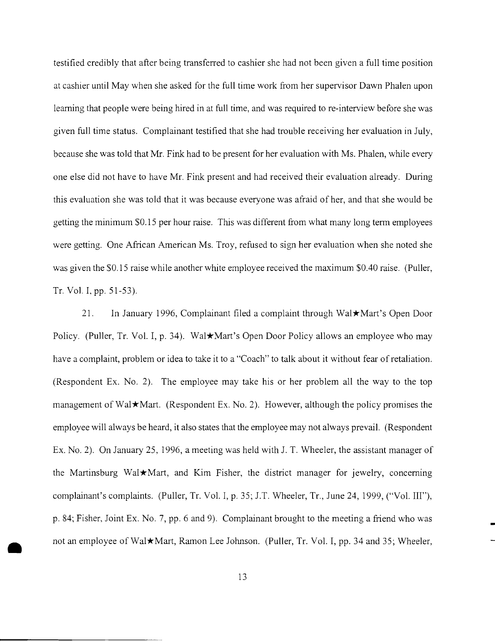testified credibly that after being transferred to cashier she had not been given a full time position at cashier until May when she asked for the full time work from her supervisor Dawn Phalen upon learning that people were being hired in at full time, and was required to re-interview before she was given full time status. Complainant testified that she had trouble receiving her evaluation in July, because she was told that Mr. Fink had to be present for her evaluation with Ms. Phalen, while every one else did not have to have Mr. Fink present and had received their evaluation already. During this evaluation she was told that it was because everyone was afraid of her, and that she would be getting the minimum \$0.15 per hour raise. This was different from what many long term employees were getting. One African American Ms. Troy, refused to sign her evaluation when she noted she was given the \$0.15 raise while another white employee received the maximum \$0.40 raise. (Puller, Tr. Vol. I, pp. 51-53).

21. In January 1996, Complainant filed a complaint through Wal\*Mart's Open Door Policy. (Puller, Tr. Vol. I, p. 34). Wal\*Mart's Open Door Policy allows an employee who may have a complaint, problem or idea to take it to a "Coach" to talk about it without fear of retaliation. (Respondent Ex. No.2). The employee may take his or her problem all the way to the top management of Wal $\star$ Mart. (Respondent Ex. No. 2). However, although the policy promises the employee will always be heard, it also states that the employee may not always prevail. (Respondent Ex. No. 2). On January 25, 1996, a meeting was held with J. T. Wheeler, the assistant manager of the Martinsburg Wal $\star$ Mart, and Kim Fisher, the district manager for jewelry, concerning complainant's complaints. (Puller, Tr. Vol. I, p. 35; 1.T. Wheeler, Tr., June 24,1999, ("Vol. III"), p. 84; Fisher, Joint Ex. No.7, pp. 6 and 9). Complainant brought to the meeting a friend who was not an employee of Wal $\star$ Mart, Ramon Lee Johnson. (Puller, Tr. Vol. I, pp. 34 and 35; Wheeler,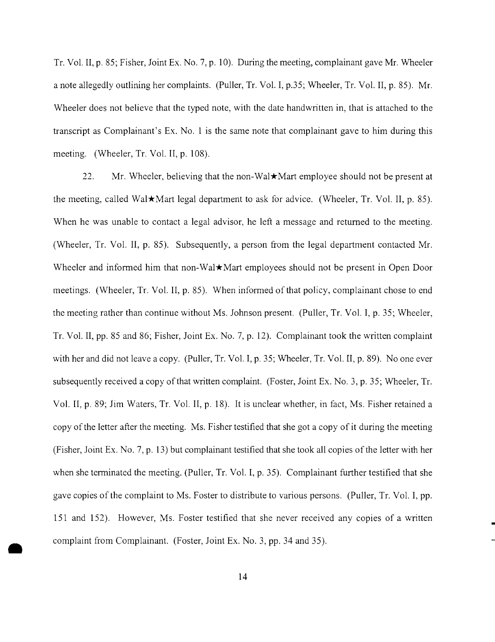Tr. Vol. II, p. 85; Fisher, Joint Ex. No.7, p. 10). During the meeting, complainant gave Mr. Wheeler a note allegedly outlining her complaints. (Puller, Tr. Vol. I, p.35; Wheeler, Tr. Vol. II, p. 85). Mr. Wheeler does not believe that the typed note, with the date handwritten in, that is attached to the transcript as Complainant's Ex. No.1 is the same note that complainant gave to him during this meeting. (Wheeler, Tr. Vol. II, p. 108).

22. Mr. Wheeler, believing that the non-Wal $\star$ Mart employee should not be present at the meeting, called Wal $\star$ Mart legal department to ask for advice. (Wheeler, Tr. Vol. II, p. 85). When he was unable to contact a legal advisor, he left a message and returned to the meeting. (Wheeler, Tr. Vol. II, p. 85). Subsequently, a person from the legal department contacted Mr. Wheeler and informed him that non-Wal<sup> $\star$ </sup>Mart employees should not be present in Open Door meetings. (Wheeler, Tr. Vol. II, p. 85). When informed of that policy, complainant chose to end the meeting rather than continue without Ms. Johnson present. (Puller, Tr. Vol. I, p. 35; Wheeler, Tr. Vol. II, pp. 85 and 86; Fisher, Joint Ex. No.7, p. 12). Complainant took the written complaint with her and did not leave a copy. (Puller, Tr. Vol. I, p. 35; Wheeler, Tr. Vol. II, p. 89). No one ever subsequently received a copy of that written complaint. (Foster, Joint Ex. No. 3, p. 35; Wheeler, Tr. Vol. II, p. 89; Jim Waters, Tr. Vol. II, p. 18). It is unclear whether, in fact, Ms. Fisher retained a copy of the letter after the meeting. Ms. Fisher testified that she got a copy of it during the meeting (Fisher, Joint Ex. No. 7, p. 13) but complainant testified that she took all copies of the letter with her when she terminated the meeting. (Puller, Tr. Vol. I, p. 35). Complainant further testified that she gave copies ofthe complaint to Ms. Foster to distribute to various persons. (Puller, Tr. Vol. I, pp. 151 and 152). However, Ms. Foster testified that she never received any copies of a written complaint from Complainant. (Foster, Joint Ex. No. 3, pp. 34 and 35).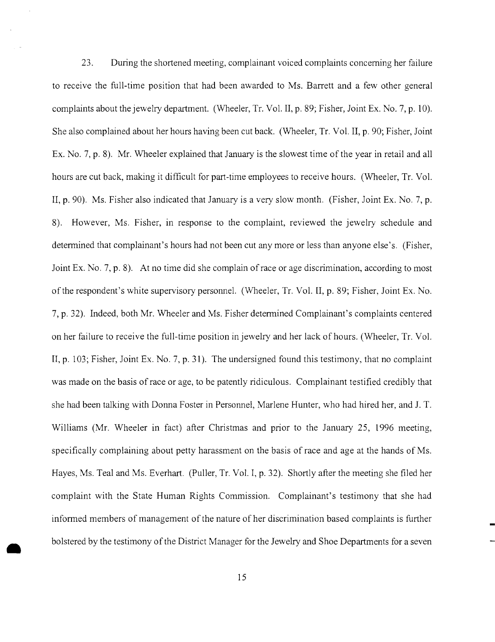23. During the shortened meeting, complainant voiced complaints concerning her failure to receive the full-time position that had been awarded to Ms. Barrett and a few other general complaints about the jewelry department. (Wheeler, Tr. Vol. II, p. 89; Fisher, Joint Ex. No.7, p. 10). She also complained about her hours having been cut back. (Wheeler, Tr. Vol. II, p. 90; Fisher, Joint Ex. No.7, p. 8). Mr. Wheeler explained that January is the slowest time of the year in retail and all hours are cut back, making it difficult for part-time employees to receive hours. (Wheeler, Tr. Vol. II, p. 90). Ms. Fisher also indicated that January is a very slow month. (Fisher, Joint Ex. No. 7, p. 8). However, Ms. Fisher, in response to the complaint, reviewed the jewelry schedule and determined that complainant's hours had not been cut any more or less than anyone else's. (Fisher, Joint Ex. No. 7, p. 8). At no time did she complain of race or age discrimination, according to most of the respondent's white supervisory personnel. (Wheeler, Tr. Vol. II, p. 89; Fisher, Joint Ex. No. 7, p. 32). Indeed, both Mr. Wheeler and Ms. Fisher determined Complainant's complaints centered on her failure to receive the full-time position in jewelry and her lack of hours. (Wheeler, Tr. Vol. II, p. 103; Fisher, Joint Ex. No. 7, p. 31). The undersigned found this testimony, that no complaint was made on the basis of race or age, to be patently ridiculous. Complainant testified credibly that she had been talking with Donna Foster in Personnel, Marlene Hunter, who had hired her, and 1. T. Williams (Mr. Wheeler in fact) after Christmas and prior to the January 25, 1996 meeting, specifically complaining about petty harassment on the basis of race and age at the hands of Ms. Hayes, Ms. Teal and Ms. Everhart. (Puller, Tr. Vol. I, p. 32). Shortly after the meeting she filed her complaint with the State Human Rights Commission. Complainant's testimony that she had informed members of management of the nature of her discrimination based complaints is further bolstered by the testimony of the District Manager for the Jewelry and Shoe Departments for a seven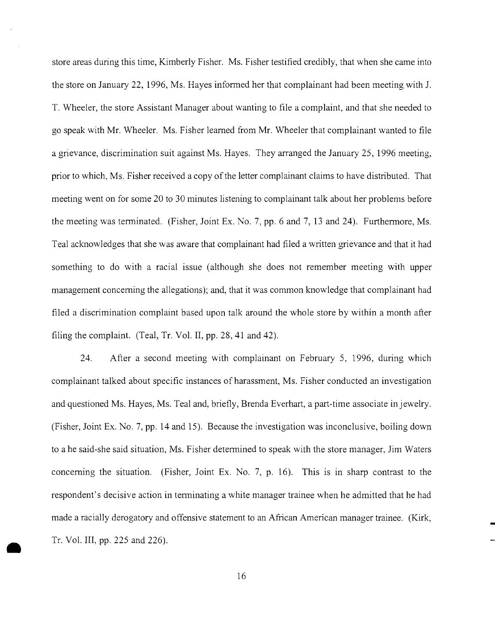store areas during this time, Kimberly Fisher. Ms. Fisher testified credibly, that when she came into the store on January 22, 1996, Ms. Hayes informed her that complainant had been meeting with 1. T. Wheeler, the store Assistant Manager about wanting to file a complaint, and that she needed to go speak with Mr. Wheeler. Ms. Fisher learned from Mr. Wheeler that complainant wanted to file a grievance, discrimination suit against Ms. Hayes. They arranged the January 25, 1996 meeting, prior to which, Ms. Fisher received a copy of the letter complainant claims to have distributed. That meeting went on for some 20 to 30 minutes listening to complainant talk about her problems before the meeting was terminated. (Fisher, Joint Ex. No.7, pp. 6 and 7, 13 and 24). Furthermore, Ms. Teal acknowledges that she was aware that complainant had filed a written grievance and that it had something to do with a racial issue (although she does not remember meeting with upper management concerning the allegations); and, that it was common knowledge that complainant had filed a discrimination complaint based upon talk around the whole store by within a month after filing the complaint. (Teal, Tr. Vol. II, pp. 28, **41** and 42).

24. After a second meeting with complainant on February 5, 1996, during which complainant talked about specific instances of harassment, Ms. Fisher conducted an investigation and questioned Ms. Hayes, Ms. Teal and, briefly, Brenda Everhart, a part-time associate in jewelry. (Fisher, Joint Ex. No.7, pp. **14** and 15). Because the investigation was inconclusive, boiling down to a he said-she said situation, Ms. Fisher determined to speak with the store manager, Jim Waters concerning the situation. (Fisher, Joint Ex. No.7, p. 16). This is in sharp contrast to the respondent's decisive action in terminating a white manager trainee when he admitted that he had made a racially derogatory and offensive statement to an African American manager trainee. (Kirk, Tr. Vol. III, pp. 225 and 226).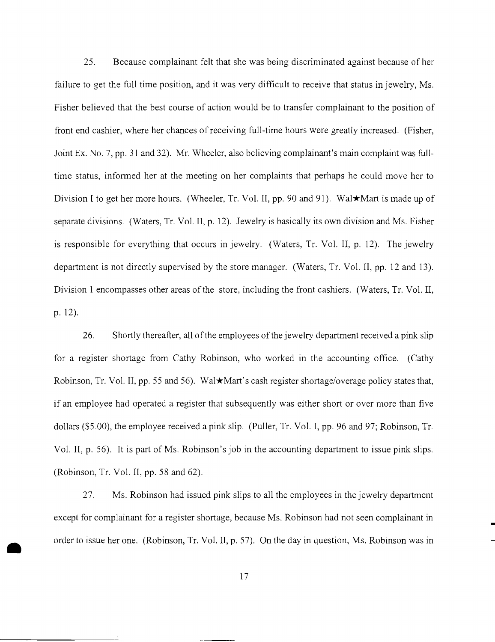25. Because complainant felt that she was being discriminated against because of her failure to get the full time position, and it was very difficult to receive that status in jewelry, Ms. Fisher believed that the best course of action would be to transfer complainant to the position of front end cashier, where her chances ofreceiving full-time hours were greatly increased. (Fisher, Joint Ex. No.7, pp. 31 and 32). Mr. Wheeler, also believing complainant's main complaint was fulltime status, informed her at the meeting on her complaints that perhaps he could move her to Division I to get her more hours. (Wheeler, Tr. Vol. II, pp. 90 and 91). Wal★Mart is made up of separate divisions. (Waters, Tr. Vol. II, p. 12). Jewelry is basically its own division and Ms. Fisher is responsible for everything that occurs in jewelry. (Waters, Tr. Vol. II, p. 12). The jewelry department is not directly supervised by the store manager. (Waters, Tr. Vol. II, pp. 12 and 13). Division 1 encompasses other areas of the store, including the front cashiers. (Waters, Tr. Vol. II, p. 12).

26. Shortly thereafter, all of the employees of the jewelry department received a pink slip for a register shortage from Cathy Robinson, who worked in the accounting office. (Cathy Robinson, Tr. Vol. II, pp. 55 and 56). Wal $\star$ Mart's cash register shortage/overage policy states that, if an employee had operated a register that subsequently was either short or over more than five dollars (\$5.00), the employee received a pink slip. (Puller, Tr. Vol. I, pp. 96 and 97; Robinson, Tr. Vol. II, p. 56). It is part of Ms. Robinson's job in the accounting department to issue pink slips. (Robinson, Tr. Vol. II, pp. 58 and 62).

27. Ms. Robinson had issued pink slips to all the employees in the jewelry department except for complainant for a register shortage, because Ms. Robinson had not seen complainant in order to issue her one. (Robinson, Tr. Vol. II, p. 57). On the day in question, Ms. Robinson was in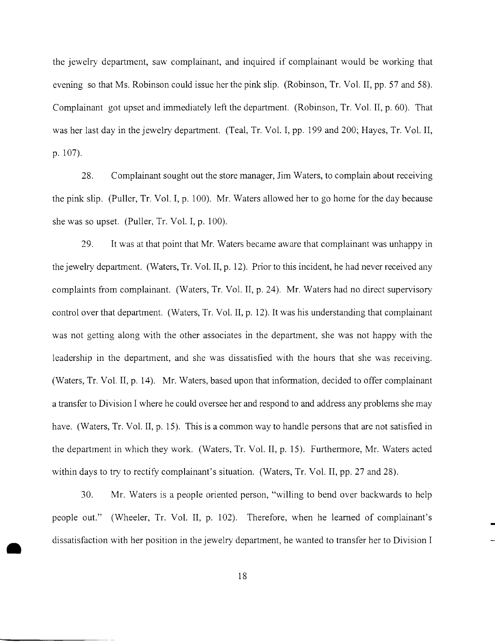the jewelry department, saw complainant, and inquired if complainant would be working that evening so that Ms. Robinson could issue her the pink slip. (Robinson, Tr. Vol. **II,** pp. 57 and 58). Complainant got upset and immediately left the department. (Robinson, Tr. Vol. II, p. 60). That was her last day in the jewelry department. (Teal, Tr. Vol. I, pp. 199 and 200; Hayes, Tr. Vol. **II,** p. 107).

Complainant sought out the store manager, Jim Waters, to complain about receiving 28. the pink slip. (Puller, Tr. Vol. **I,** p. 100). Mr. Waters allowed her to go home for the day because she was so upset. (Puller, Tr. Vol. I, p. 100).

29. It was at that point that Mr. Waters became aware that complainant was unhappy in the jewelry department. (Waters, Tr. Vol. **II,** p. 12). Prior to this incident, he had never received any complaints from complainant. (Waters, Tr. Vol. **II,** p. 24). Mr. Waters had no direct supervisory control over that department. (Waters, Tr. Vol. **II,** p. 12). It was his understanding that complainant was not getting along with the other associates in the department, she was not happy with the leadership in the department, and she was dissatisfied with the hours that she was receiving. (Waters, Tr. Vol. **II,** p. 14). Mr. Waters, based upon that information, decided to offer complainant a transfer to Division I where he could oversee her and respond to and address any problems she may have. (Waters, Tr. Vol. **II,** p. 15). This is a common way to handle persons that are not satisfied in the department in which they work. (Waters, Tr. Vol. **II,** p. 15). Furthermore, Mr. Waters acted within days to try to rectify complainant's situation. (Waters, Tr. Vol. **II,** pp. 27 and 28).

30. Mr. Waters is a people oriented person, "willing to bend over backwards to help people out." (Wheeler, Tr. Vol. **II,** p. 102). Therefore, when he learned of complainant's dissatisfaction with her position in the jewelry department, he wanted to transfer her to Division I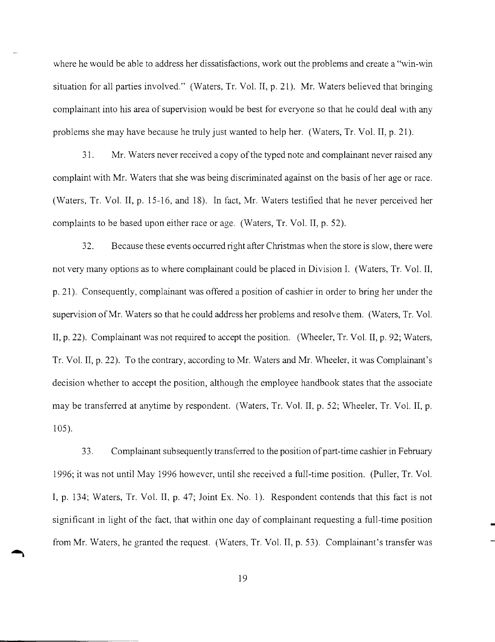where he would be able to address her dissatisfactions, work out the problems and create a "win-win situation for all parties involved." (Waters, Tr. Vol. II, p. 21). Mr. Waters believed that bringing complainant into his area of supervision would be best for everyone so that he could deal with any problems she may have because he truly just wanted to help her. (Waters, Tr. Vol. II, p. 21).

31. Mr. Waters never received a copy ofthe typed note and complainant never raised any complaint with Mr. Waters that she was being discriminated against on the basis of her age or race. (Waters, Tr. Vol. II, p. 15-16, and 18). In fact, Mr. Waters testified that he never perceived her complaints to be based upon either race or age. (Waters, Tr. Vol. II, p. 52).

32. Because these events occurred right after Christmas when the store is slow, there were not very many options as to where complainant could be placed in Division 1. (Waters, Tr. Vol. II. p. 21). Consequently, complainant was offered a position of cashier in order to bring her under the supervision ofMr. Waters so that he could address her problems and resolve them. (Waters, Tr. Vol. II, p. 22). Complainant was not required to accept the position. (Wheeler, Tr. Vol. II, p. 92; Waters, Tr. Vol. II, p. 22). To the contrary, according to Mr. Waters and Mr. Wheeler, it was Complainant's decision whether to accept the position, although the employee handbook states that the associate may be transferred at anytime by respondent. (Waters, Tr. Vol. II, p. 52; Wheeler, Tr. Vol. II, p. 105).

33. Complainant subsequently transferred to the position of part-time cashier in February 1996; it was not until May 1996 however, until she received a full-time position. (Puller, Tr. Vol. I, p. 134; Waters, Tr. Vol. II, p. 47; Joint Ex. No.1). Respondent contends that this fact is not significant in light of the fact, that within one day of complainant requesting a full-time position from Mr. Waters, he granted the request. (Waters, Tr. Vol. II, p. 53). Complainant's transfer was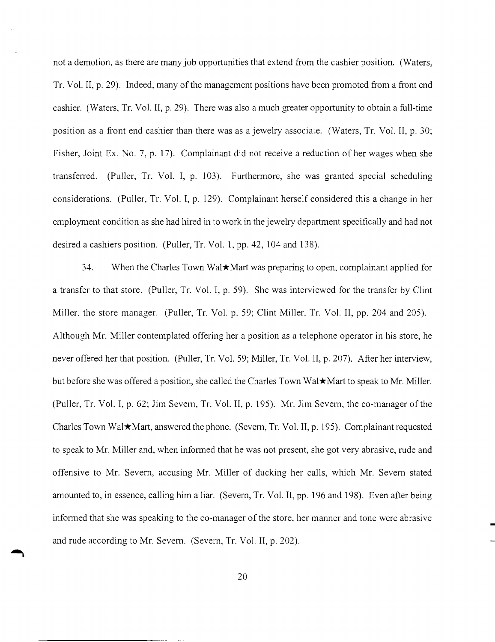not a demotion, as there are many job opportunities that extend from the cashier position. (Waters, Tr. Vol. II, p. 29). Indeed, many of the management positions have been promoted from a front end cashier. (Waters, Tr. Vol. II, p. 29). There was also a much greater opportunity to obtain a full-time position as a front end cashier than there was as a jewelry associate. (Waters, Tr. Vol. II, p. 30; Fisher, Joint Ex. No. 7, p. 17). Complainant did not receive a reduction of her wages when she transferred. (Puller, Tr. Vol. I, p. 103). Furthermore, she was granted special scheduling considerations. (Puller, Tr. Vol. I, p. 129). Complainant herself considered this a change in her employment condition as she had hired in to work in the jewelry department specifically and had not desired a cashiers position. (Puller, Tr. Vol. 1, pp. 42, 104 and 138).

34. When the Charles Town Wal\*Mart was preparing to open, complainant applied for a transfer to that store. (Puller, Tr. Vol. I, p. 59). She was interviewed for the transfer by Clint Miller. the store manager. (Puller, Tr. Vol. p. 59; Clint Miller, Tr. Vol. II, pp. 204 and 205). Although Mr. Miller contemplated offering her a position as a telephone operator in his store, he never offered her that position. (Puller, Tr. Vol. 59; Miller, Tr. Vol. II, p. 207). After her interview, but before she was offered a position, she called the Charles Town Wal $\star$ Mart to speak to Mr. Miller. (Puller, Tr. Vol. I, p. 62; Jim Severn, Tr. Vol. II, p. 195). Mr. Jim Severn, the co-manager of the Charles Town Wal\*Mart, answered the phone. (Severn, Tr. Vol. II, p. 195). Complainant requested to speak to Mr. Miller and, when informed that he was not present, she got very abrasive, rude and offensive to Mr. Severn, accusing Mr. Miller of ducking her calls, which Mr. Severn stated amounted to, in essence, calling him a liar. (Severn, Tr. Vol. II, pp. 196 and 198). Even after being informed that she was speaking to the co-manager of the store, her manner and tone were abrasive and rude according to Mr. Severn. (Severn, Tr. Vol. II, p. 202).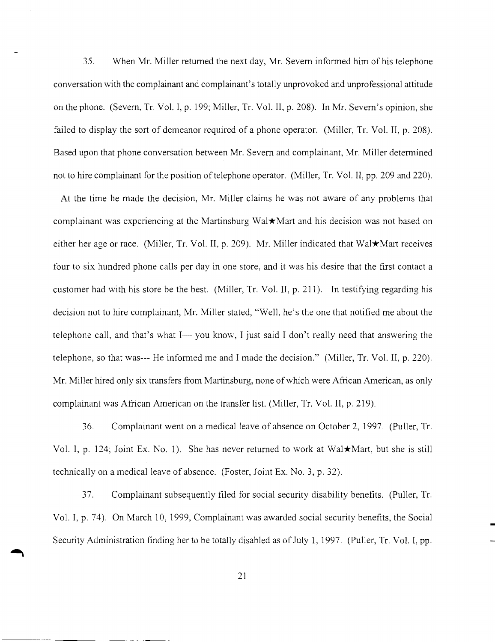35. When Mr. Miller returned the next day, Mr. Severn informed him of his telephone conversation with the complainant and complainant's totally unprovoked and unprofessional attitude on the phone. (Severn, Ir. Vol. I, p. 199; Miller, Ir. Vol. II, p. 208). In Mr. Severn's opinion, she failed to display the sort of demeanor required of a phone operator. (Miller, Tr. Vol. II, p. 208). Based upon that phone conversation between Mr. Severn and complainant, Mr. Miller determined not to hire complainant for the position of telephone operator. (Miller, Tr. Vol. II, pp. 209 and 220).

At the time he made the decision, Mr. Miller claims he was not aware of any problems that complainant was experiencing at the Martinsburg Wal\*Mart and his decision was not based on either her age or race. (Miller, Tr. Vol. II, p. 209). Mr. Miller indicated that Wal $\star$ Mart receives four to six hundred phone calls per day in one store, and it was his desire that the first contact a customer had with his store be the best. (Miller, Ir. Vol. II, p. 211). In testifying regarding his decision not to hire complainant, Mr. Miller stated, "Well, he's the one that notified me about the telephone call, and that's what  $I - y$ ou know, I just said I don't really need that answering the telephone, so that was--- He informed me and I made the decision." (Miller, Ir. Vol. II, p. 220). Mr. Miller hired only six transfers from Martinsburg, none of which were African American, as only complainant was African American on the transfer list. (Miller, Ir. Vol. II, p. 219).

36. Complainant went on a medical leave of absence on October 2, 1997. (Puller, Ir. Vol. I, p. 124; Joint Ex. No. 1). She has never returned to work at Wal $\star$ Mart, but she is still technically on a medical leave of absence. (Foster, Joint Ex. No.3, p. 32).

37. Complainant subsequently filed for social security disability benefits. (Puller, Ir. Vol. I, p. 74). On March 10, 1999, Complainant was awarded social security benefits, the Social Security Administration finding her to be totally disabled as of July 1, 1997. (Puller, Tr. Vol. I, pp.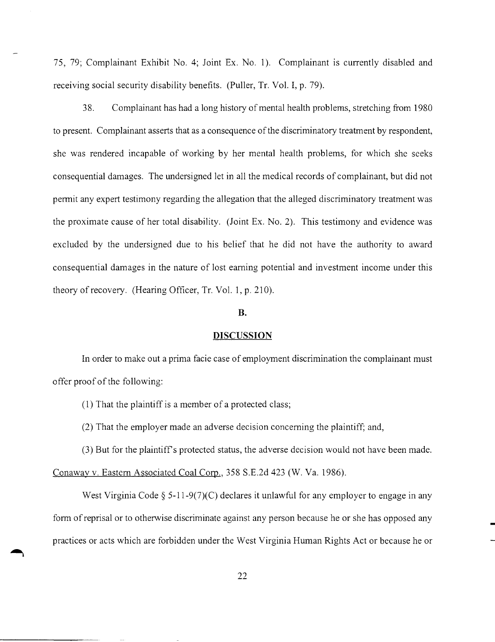75, 79; Complainant Exhibit No.4; Joint Ex. No.1). Complainant is currently disabled and receiving social security disability benefits. (Puller, Tr. Vol. I, p. 79).

38. Complainant has had a long history ofmental health problems, stretching from 1980 to present. Complainant asserts that as a consequence of the discriminatory treatment by respondent, she was rendered incapable of working by her mental health problems, for which she seeks consequential damages. The undersigned let in all the medical records of complainant, but did not permit any expert testimony regarding the allegation that the alleged discriminatory treatment was the proximate cause of her total disability. (Joint Ex. No.2). This testimony and evidence was excluded by the undersigned due to his belief that he did not have the authority to award consequential damages in the nature of lost earning potential and investment income under this theory of recovery. (Hearing Officer, Tr. Vol. 1, p. 210).

## B.

#### **DISCUSSION**

In order to make out a prima facie case of employment discrimination the complainant must offer proof of the following:

(1) That the plaintiff is a member of a protected class;

(2) That the employer made an adverse decision concerning the plaintiff; and,

(3) But for the plaintiffs protected status, the adverse decision would not have been made.

Conaway v. Eastern Associated Coal Corp., 358 S.E.2d 423 (W. Va. 1986).

West Virginia Code  $\S$  5-11-9(7)(C) declares it unlawful for any employer to engage in any form of reprisal or to otherwise discriminate against any person because he or she has opposed any practices or acts which are forbidden under the West Virginia Human Rights Act or because he or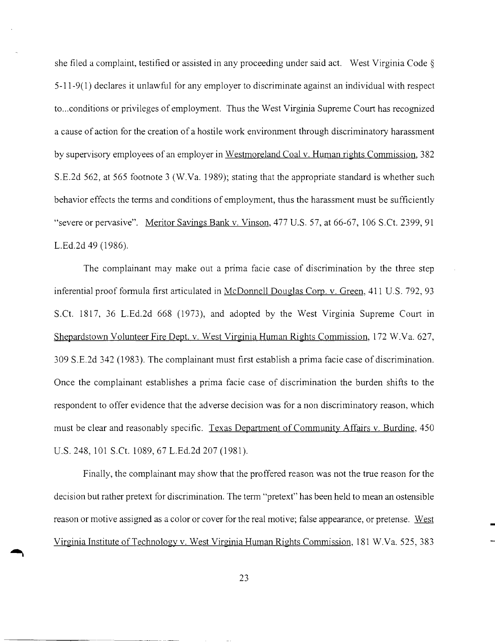she filed a complaint, testified or assisted in any proceeding under said act. West Virginia Code § 5-11-9(1) declares it unlawful for any employer to discriminate against an individual with respect to...conditions or privileges of employment. Thus the West Virginia Supreme Court has recognized a cause of action for the creation of a hostile work environment through discriminatory harassment by supervisory employees of an employer in Westmoreland Coal v. Human rights Commission, 382 S.E.2d 562, at 565 footnote 3 (W.Va. 1989); stating that the appropriate standard is whether such behavior effects the terms and conditions of employment, thus the harassment must be sufficiently "severe or pervasive". Meritor Savings Bank v. Vinson, 477 U.S. 57, at 66-67, 106 S.Ct. 2399, 91 L.Ed.2d 49 (1986).

The complainant may make out a prima facie case of discrimination by the three step inferential proof formula first articulated in McDonnell Douglas Corp. v. Green, 411 U.S. 792, 93 S.Ct. 1817, 36 L.Ed.2d 668 (1973), and adopted by the West Virginia Supreme Court in Shepardstown Volunteer Fire Dept. v. West Virginia Human Rights Commission, 172 W.Va. 627, 309 S.E.2d 342 (1983). The complainant must first establish a prima facie case of discrimination. Once the complainant establishes a prima facie case of discrimination the burden shifts to the respondent to offer evidence that the adverse decision was for a non discriminatory reason, which must be clear and reasonably specific. Texas Department of Community Affairs v. Burdine, 450 U.S. 248,101 S.Ct. 1089,67 L.Ed.2d 207 (1981).

Finally, the complainant may show that the proffered reason was not the true reason for the decision but rather pretext for discrimination. The term "pretext" has been held to mean an ostensible reason or motive assigned as a color or cover for the real motive; false appearance, or pretense. West Virginia Institute of Technology v. West Virginia Human Rights Commission, 181 W.Va. 525, 383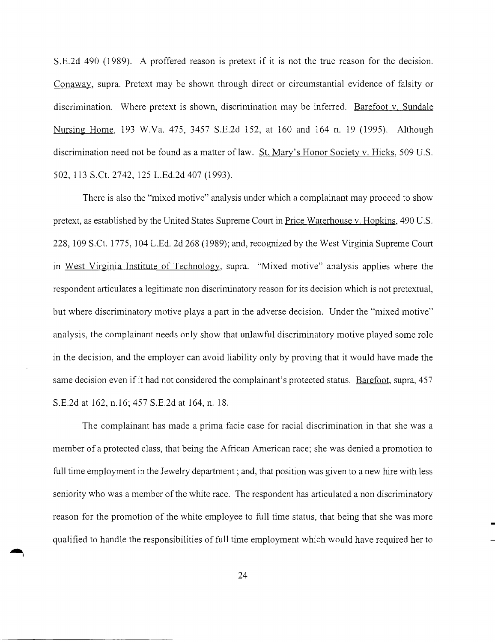S.E.2d 490 (1989). A proffered reason is pretext if it is not the true reason for the decision. Conaway, supra. Pretext may be shown through direct or circumstantial evidence of falsity or discrimination. Where pretext is shown, discrimination may be inferred. Barefoot v. Sundale Nursing Home, 193 W.Va. 475, 3457 S.E.2d 152, at 160 and 164 n. 19 (1995). Although discrimination need not be found as a matter of law. St. Mary's Honor Society v. Hicks, 509 U.S. 502, 113 S.Ct. 2742, 125 L.Ed.2d 407 (1993).

There is also the "mixed motive" analysis under which a complainant may proceed to show pretext, as established by the United States Supreme Court in Price Waterhouse v. Hopkins, 490 U.S. 228,109 S.Ct. 1775, 104 L.Ed. 2d 268 (1989); and, recognized by the West Virginia Supreme Court in West Virginia Institute of Technology, supra. "Mixed motive" analysis applies where the respondent articulates a legitimate non discriminatory reason for its decision which is not pretextual, but where discriminatory motive plays a part in the adverse decision. Under the "mixed motive" analysis, the complainant needs only show that unlawful discriminatory motive played some role in the decision, and the employer can avoid liability only by proving that it would have made the same decision even if it had not considered the complainant's protected status. Barefoot, supra, 457 S.E.2d at 162, n.16; 457 S.E.2d at 164, n. 18.

The complainant has made a prima facie case for racial discrimination in that she was a member of a protected class, that being the African American race; she was denied a promotion to full time employment in the Jewelry department; and, that position was given to a new hire with less seniority who was a member of the white race. The respondent has articulated a non discriminatory reason for the promotion of the white employee to full time status, that being that she was more qualified to handle the responsibilities of full time employment which would have required her to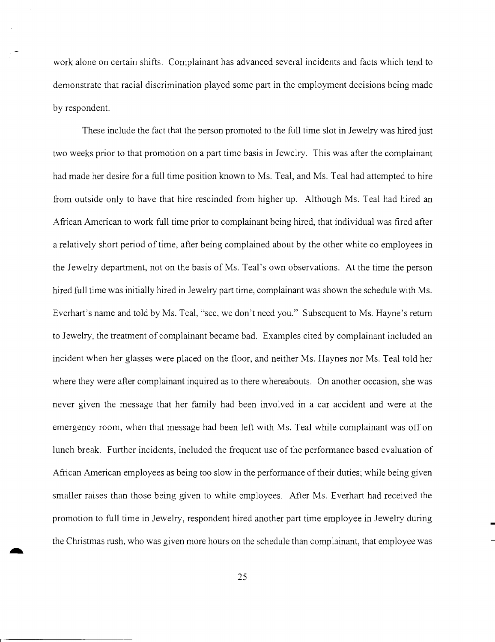work alone on certain shifts. Complainant has advanced several incidents and facts which tend to demonstrate that racial discrimination played some part in the employment decisions being made by respondent.

These include the fact that the person promoted to the full time slot in Jewelry was hired just two weeks prior to that promotion on a part time basis in Jewelry. This was after the complainant had made her desire for a full time position known to Ms. Teal, and Ms. Teal had attempted to hire from outside only to have that hire rescinded from higher up. Although Ms. Teal had hired an African American to work full time prior to complainant being hired, that individual was fired after a relatively short period of time, after being complained about by the other white co employees in the Jewelry department, not on the basis of Ms. Teal's own observations. At the time the person hired full time was initially hired in Jewelry part time, complainant was shown the schedule with Ms. Everhart's name and told by Ms. Teal, "see, we don't need you." Subsequent to Ms. Hayne's return to Jewelry, the treatment of complainant became bad. Examples cited by complainant included an incident when her glasses were placed on the floor, and neither Ms. Haynes nor Ms. Teal told her where they were after complainant inquired as to there whereabouts. On another occasion, she was never given the message that her family had been involved in a car accident and were at the emergency room, when that message had been left with Ms. Teal while complainant was off on lunch break. Further incidents, included the frequent use of the performance based evaluation of African American employees as being too slow in the performance of their duties; while being given smaller raises than those being given to white employees. After Ms. Everhart had received the promotion to full time in Jewelry, respondent hired another part time employee in Jewelry during the Christmas rush, who was given more hours on the schedule than complainant, that employee was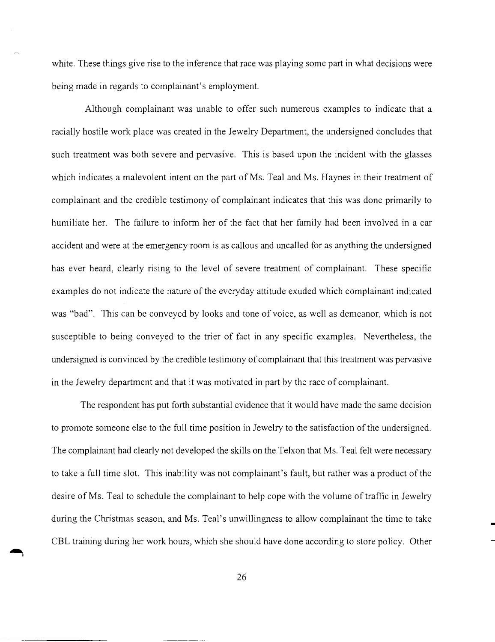white. These things give rise to the inference that race was playing some part in what decisions were being made in regards to complainant's employment.

Although complainant was unable to offer such numerous examples to indicate that a racially hostile work place was created in the Jewelry Department, the undersigned concludes that such treatment was both severe and pervasive. This is based upon the incident with the glasses which indicates a malevolent intent on the part of Ms. Teal and Ms. Haynes in their treatment of complainant and the credible testimony of complainant indicates that this was done primarily to humiliate her. The failure to inform her of the fact that her family had been involved in a car accident and were at the emergency room is as callous and uncalled for as anything the undersigned has ever heard, clearly rising to the level of severe treatment of complainant. These specific examples do not indicate the nature of the everyday attitude exuded which complainant indicated was "bad". This can be conveyed by looks and tone of voice, as well as demeanor, which is not susceptible to being conveyed to the trier of fact in any specific examples. Nevertheless, the undersigned is convinced by the credible testimony of complainant that this treatment was pervasive in the Jewelry department and that it was motivated in part by the race of complainant.

The respondent has put forth substantial evidence that it would have made the same decision to promote someone else to the full time position in Jewelry to the satisfaction of the undersigned. The complainant had clearly not developed the skills on the Telxon that Ms. Teal felt were necessary to take a full time slot. This inability was not complainant's fault, but rather was a product of the desire of Ms. Teal to schedule the complainant to help cope with the volume of traffic in Jewelry during the Christmas season, and Ms. Teal's unwillingness to allow complainant the time to take CBL training during her work hours, which she should have done according to store policy. Other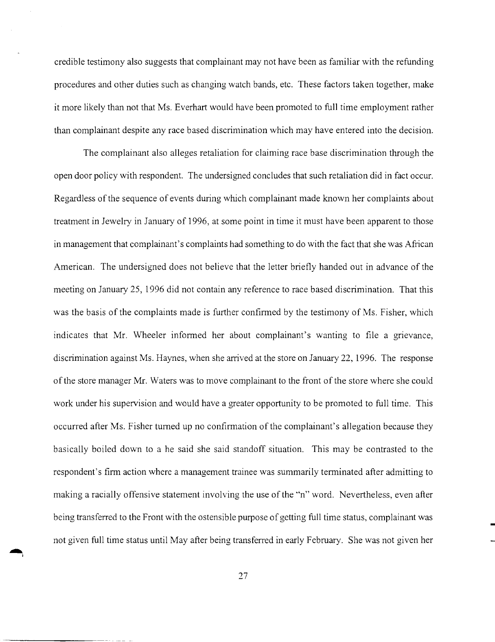credible testimony also suggests that complainant may not have been as familiar with the refunding procedures and other duties such as changing watch bands, etc. These factors taken together, make it more likely than not that Ms. Everhart would have been promoted to full time employment rather than complainant despite any race based discrimination which may have entered into the decision.

The complainant also alleges retaliation for claiming race base discrimination through the open door policy with respondent. The undersigned concludes that such retaliation did in fact occur. Regardless of the sequence of events during which complainant made known her complaints about treatment in Jewelry in January of 1996, at some point in time it must have been apparent to those in management that complainant's complaints had something to do with the fact that she was African American. The undersigned does not believe that the letter briefly handed out in advance of the meeting on January 25, 1996 did not contain any reference to race based discrimination. That this was the basis of the complaints made is further confirmed by the testimony of Ms. Fisher, which indicates that Mr. Wheeler informed her about complainant's wanting to file a grievance, discrimination against Ms. Haynes, when she arrived at the store on January 22, 1996. The response of the store manager Mr. Waters was to move complainant to the front of the store where she could work under his supervision and would have a greater opportunity to be promoted to full time. This occurred after Ms. Fisher turned up no confirmation ofthe complainant's allegation because they basically boiled down to a he said she said standoff situation. This may be contrasted to the respondent's firm action where a management trainee was summarily terminated after admitting to making a racially offensive statement involving the use ofthe "n" word. Nevertheless, even after being transferred to the Front with the ostensible purpose of getting full time status, complainant was not given full time status until May after being transferred in early February. She was not given her

 $\left| \right|$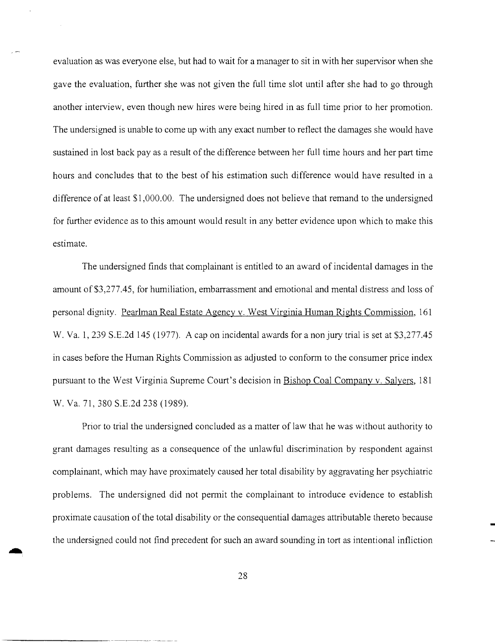evaluation as was everyone else, but had to wait for a manager to sit in with her supervisor when she gave the evaluation, further she was not given the full time slot until after she had to go through another interview, even though new hires were being hired in as full time prior to her promotion. The undersigned is unable to come up with any exact number to reflect the damages she would have sustained in lost back pay as a result of the difference between her full time hours and her part time hours and concludes that to the best of his estimation such difference would have resulted in a difference of at least \$1,000.00. The undersigned does not believe that remand to the undersigned for further evidence as to this amount would result in any better evidence upon which to make this estimate.

The undersigned finds that complainant is entitled to an award ofincidental damages in the amount of \$3,277.45, for humiliation, embarrassment and emotional and mental distress and loss of personal dignity. Pearlman Real Estate Agency v. West Virginia Human Rights Commission, 161 W. Va. 1, 239 S.E.2d 145 (1977). A cap on incidental awards for a non jury trial is set at \$3,277.45 in cases before the Human Rights Commission as adjusted to conform to the consumer price index pursuant to the West Virginia Supreme Court's decision in Bishop Coal Company v. Salyers, 181 W. Va. 71, 380 S.E.2d 238 (1989).

Prior to trial the undersigned concluded as a matter of law that he was without authority to grant damages resulting as a consequence of the unlawful discrimination by respondent against complainant, which may have proximately caused her total disability by aggravating her psychiatric problems. The undersigned did not permit the complainant to introduce evidence to establish proximate causation of the total disability or the consequential damages attributable thereto because the undersigned could not find precedent for such an award sounding in tort as intentional infliction

\_\_\_\_\_\_\_\_\_\_•• \_. ~.\_\_ .\_o \_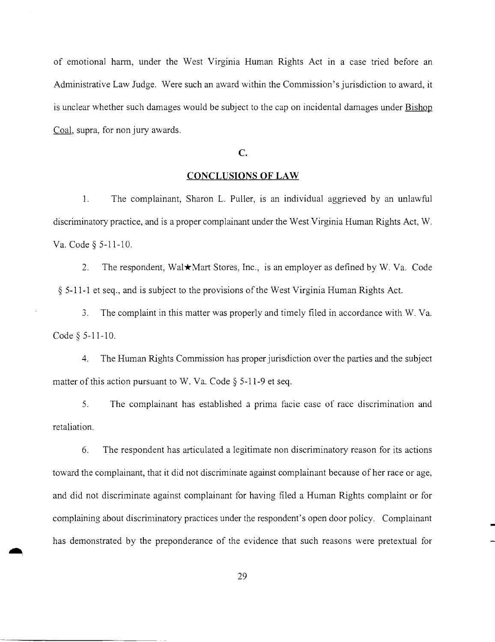of emotional harm, under the West Virginia Human Rights Act in a case tried before an Administrative Law Judge. Were such an award within the Commission's jurisdiction to award, it is unclear whether such damages would be subject to the cap on incidental damages under Bishop Coal, supra, for non jury awards.

## C.

#### **CONCLUSIONS OF LAW**

I. The complainant, Sharon L. Puller, is an individual aggrieved by an unlawful discriminatory practice, and is a proper complainant under the West Virginia Human Rights Act, W. Va. Code § 5-11-10.

2. The respondent, Wal $\star$ Mart Stores, Inc., is an employer as defined by W. Va. Code § 5-11-1 et seq., and is subject to the provisions of the West Virginia Human Rights Act.

3. The complaint in this matter was properly and timely filed in accordance with W. Va. Code § 5-11-10.

4. The Human Rights Commission has proper jurisdiction over the parties and the subject matter of this action pursuant to W. Va. Code  $\S$  5-11-9 et seq.

5. The complainant has established a prima facie case of race discrimination and retaliation.

6. The respondent has articulated a legitimate non discriminatory reason for its actions toward the complainant, that it did not discriminate against complainant because of her race or age, and did not discriminate against complainant for having filed a Human Rights complaint or for complaining about discriminatory practices under the respondent's open door policy. Complainant has demonstrated by the preponderance of the evidence that such reasons were pretextual for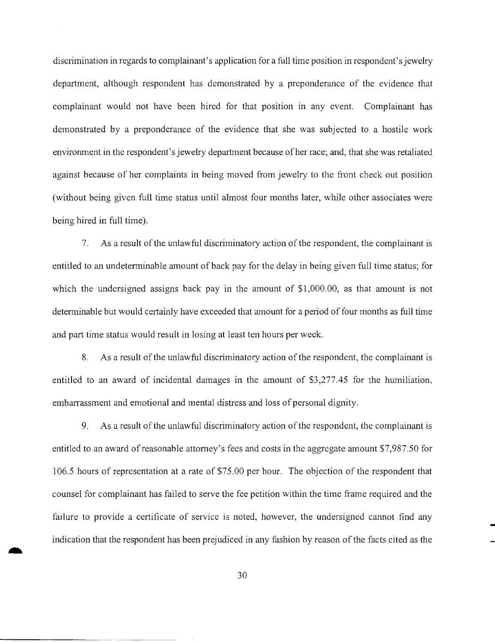discrimination in regards to complainant's application for a full time position in respondent's jewelry department, although respondent has demonstrated by a preponderance of the evidence that complainant would not have been hired for that position in any event. Complainant has demonstrated by a preponderance of the evidence that she was subjected to a hostile work environment in the respondent's jewelry department because of her race; and, that she was retaliated against because of her complaints in being moved from jewelry to the front check out position (without being given full time status until almost four months later, while other associates were being hired in full time).

7. As a result of the unlawful discriminatory action of the respondent, the complainant is entitled to an undeterminable amount of back pay for the delay in being given full time status; for which the undersigned assigns back pay in the amount of \$1,000.00, as that amount is not determinable but would certainly have exceeded that amount for a period offour months as full time and part time status would result in losing at least ten hours per week.

8. As a result of the unlawful discriminatory action of the respondent, the complainant is entitled to an award of incidental damages in the amount of \$3,277.45 for the humiliation, embarrassment and emotional and mental distress and loss of personal dignity.

9. As a result of the unlawful discriminatory action of the respondent, the complainant is entitled to an award of reasonable attorney's fees and costs in the aggregate amount \$7,987.50 for 106.5 hours of representation at a rate of \$75.00 per hour. The objection of the respondent that counsel for complainant has failed to serve the fee petition within the time frame required and the failure to provide a certificate of service is noted, however, the undersigned cannot find any indication that the respondent has been prej udiced in any fashion by reason of the facts cited as the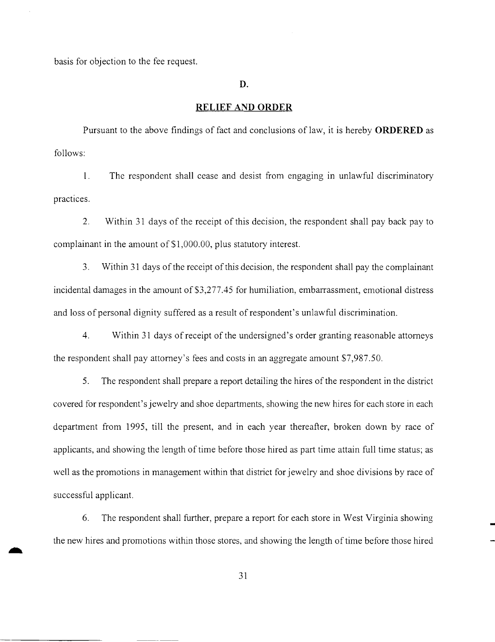basis for objection to the fee request.

#### **D.**

## **RELIEF AND ORDER**

Pursuant to the above findings of fact and conclusions of law, it is hereby **ORDERED** as follows:

1. The respondent shall cease and desist from engaging in unlawful discriminatory practices.

2. Within 31 days of the receipt of this decision, the respondent shall pay back pay to complainant in the amount of \$1 ,000.00, plus statutory interest.

3. Within 31 days of the receipt of this decision, the respondent shall pay the complainant incidental damages in the amount of \$3,277.45 for humiliation, embarrassment, emotional distress and loss of personal dignity suffered as a result of respondent's unlawful discrimination.

4. Within 31 days ofreceipt ofthe undersigned's order granting reasonable attorneys the respondent shall pay attorney's fees and costs in an aggregate amount \$7,987.50.

5. The respondent shall prepare a report detailing the hires of the respondent in the district covered for respondent's jewelry and shoe departments, showing the new hires for each store in each department from 1995, till the present, and in each year thereafter, broken down by race of applicants, and showing the length of time before those hired as part time attain full time status; as well as the promotions in management within that district for jewelry and shoe divisions by race of successful applicant.

6. The respondent shall further, prepare a report for each store in West Virginia showing the new hires and promotions within those stores, and showing the length of time before those hired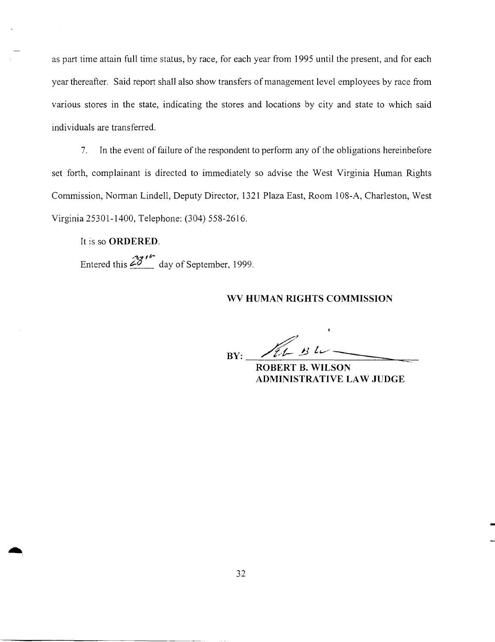as part time attain full time status, by race, for each year from 1995 until the present, and for each year thereafter. Said report shall also show transfers of management level employees by race from various stores in the state, indicating the stores and locations by city and state to which said individuals are transferred.

7. In the event of failure of the respondent to perform any of the obligations hereinbefore set forth, complainant is directed to immediately so advise the West Virginia Human Rights Commission, Norman Lindell, Deputy Director, 1321 Plaza East, Room 108-A, Charleston, West Virginia 25301-1400, Telephone: (304) 558-2616.

## It is so **ORDERED.**

*-"<2* fir Entered this  $\angle 2$  day of September, 1999.

## **WV HUMAN RIGHTS COMMISSION**

 $BY:$   $\mathscr{H}_{t-2}$   $\mathscr{H}_{t-2}$ 

**ROBERT B. WILSON ADMINISTRATIVE LAW JUDGE**